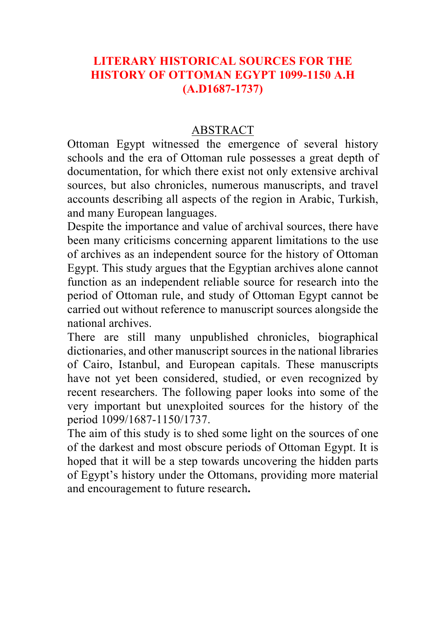## **LITERARY HISTORICAL SOURCES FOR THE HISTORY OF OTTOMAN EGYPT 1099-1150 A.H (A.D1687-1737)**

## ABSTRACT

Ottoman Egypt witnessed the emergence of several history schools and the era of Ottoman rule possesses a great depth of documentation, for which there exist not only extensive archival sources, but also chronicles, numerous manuscripts, and travel accounts describing all aspects of the region in Arabic, Turkish, and many European languages.

Despite the importance and value of archival sources, there have been many criticisms concerning apparent limitations to the use of archives as an independent source for the history of Ottoman Egypt. This study argues that the Egyptian archives alone cannot function as an independent reliable source for research into the period of Ottoman rule, and study of Ottoman Egypt cannot be carried out without reference to manuscript sources alongside the national archives.

There are still many unpublished chronicles, biographical dictionaries, and other manuscript sources in the national libraries of Cairo, Istanbul, and European capitals. These manuscripts have not yet been considered, studied, or even recognized by recent researchers. The following paper looks into some of the very important but unexploited sources for the history of the period 1099/1687-1150/1737.

The aim of this study is to shed some light on the sources of one of the darkest and most obscure periods of Ottoman Egypt. It is hoped that it will be a step towards uncovering the hidden parts of Egypt's history under the Ottomans, providing more material and encouragement to future research**.**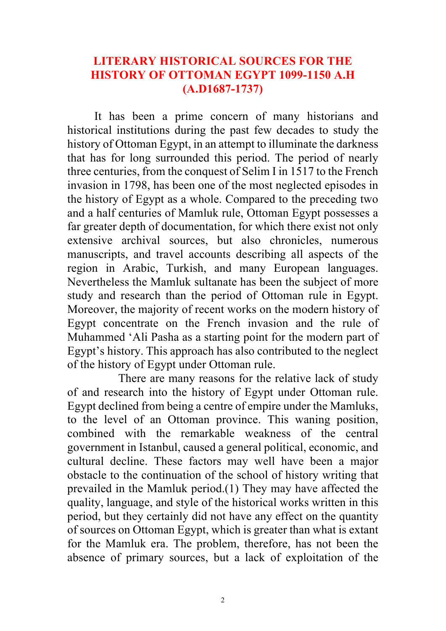### **LITERARY HISTORICAL SOURCES FOR THE HISTORY OF OTTOMAN EGYPT 1099-1150 A.H (A.D1687-1737)**

It has been a prime concern of many historians and historical institutions during the past few decades to study the history of Ottoman Egypt, in an attempt to illuminate the darkness that has for long surrounded this period. The period of nearly three centuries, from the conquest of Selim I in 1517 to the French invasion in 1798, has been one of the most neglected episodes in the history of Egypt as a whole. Compared to the preceding two and a half centuries of Mamluk rule, Ottoman Egypt possesses a far greater depth of documentation, for which there exist not only extensive archival sources, but also chronicles, numerous manuscripts, and travel accounts describing all aspects of the region in Arabic, Turkish, and many European languages. Nevertheless the Mamluk sultanate has been the subject of more study and research than the period of Ottoman rule in Egypt. Moreover, the majority of recent works on the modern history of Egypt concentrate on the French invasion and the rule of Muhammed 'Ali Pasha as a starting point for the modern part of Egypt's history. This approach has also contributed to the neglect of the history of Egypt under Ottoman rule.

 There are many reasons for the relative lack of study of and research into the history of Egypt under Ottoman rule. Egypt declined from being a centre of empire under the Mamluks, to the level of an Ottoman province. This waning position, combined with the remarkable weakness of the central government in Istanbul, caused a general political, economic, and cultural decline. These factors may well have been a major obstacle to the continuation of the school of history writing that prevailed in the Mamluk period.(1) They may have affected the quality, language, and style of the historical works written in this period, but they certainly did not have any effect on the quantity of sources on Ottoman Egypt, which is greater than what is extant for the Mamluk era. The problem, therefore, has not been the absence of primary sources, but a lack of exploitation of the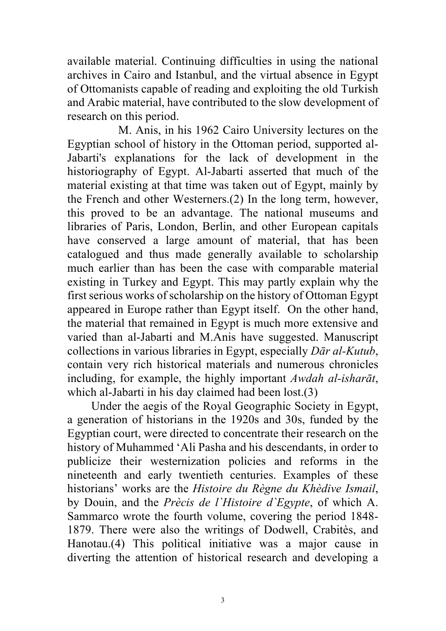available material. Continuing difficulties in using the national archives in Cairo and Istanbul, and the virtual absence in Egypt of Ottomanists capable of reading and exploiting the old Turkish and Arabic material, have contributed to the slow development of research on this period.

 M. Anis, in his 1962 Cairo University lectures on the Egyptian school of history in the Ottoman period, supported al-Jabarti's explanations for the lack of development in the historiography of Egypt. Al-Jabarti asserted that much of the material existing at that time was taken out of Egypt, mainly by the French and other Westerners.(2) In the long term, however, this proved to be an advantage. The national museums and libraries of Paris, London, Berlin, and other European capitals have conserved a large amount of material, that has been catalogued and thus made generally available to scholarship much earlier than has been the case with comparable material existing in Turkey and Egypt. This may partly explain why the first serious works of scholarship on the history of Ottoman Egypt appeared in Europe rather than Egypt itself. On the other hand, the material that remained in Egypt is much more extensive and varied than al-Jabarti and M.Anis have suggested. Manuscript collections in various libraries in Egypt, especially *Dār al-Kutub*, contain very rich historical materials and numerous chronicles including, for example, the highly important *Awdah al-isharāt*, which al-Jabarti in his day claimed had been lost.(3)

 Under the aegis of the Royal Geographic Society in Egypt, a generation of historians in the 1920s and 30s, funded by the Egyptian court, were directed to concentrate their research on the history of Muhammed 'Ali Pasha and his descendants, in order to publicize their westernization policies and reforms in the nineteenth and early twentieth centuries. Examples of these historians' works are the *Histoire du Règne du Khèdive Ismail*, by Douin, and the *Prècis de l`Histoire d`Egypte*, of which A. Sammarco wrote the fourth volume, covering the period 1848- 1879. There were also the writings of Dodwell, Crabitès, and Hanotau.(4) This political initiative was a major cause in diverting the attention of historical research and developing a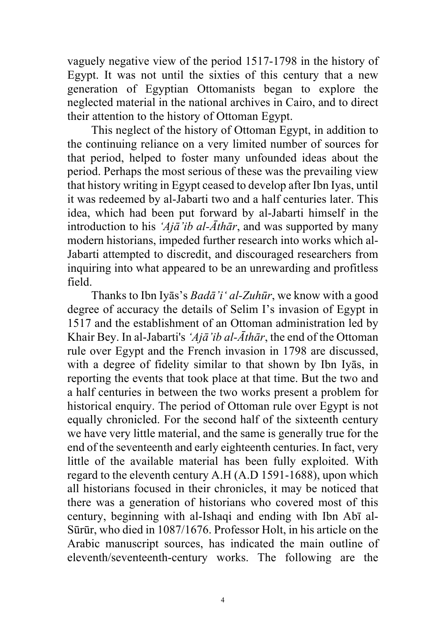vaguely negative view of the period 1517-1798 in the history of Egypt. It was not until the sixties of this century that a new generation of Egyptian Ottomanists began to explore the neglected material in the national archives in Cairo, and to direct their attention to the history of Ottoman Egypt.

 This neglect of the history of Ottoman Egypt, in addition to the continuing reliance on a very limited number of sources for that period, helped to foster many unfounded ideas about the period. Perhaps the most serious of these was the prevailing view that history writing in Egypt ceased to develop after Ibn Iyas, until it was redeemed by al-Jabarti two and a half centuries later. This idea, which had been put forward by al-Jabarti himself in the introduction to his *'Ajā'ib al-Āthār*, and was supported by many modern historians, impeded further research into works which al-Jabarti attempted to discredit, and discouraged researchers from inquiring into what appeared to be an unrewarding and profitless field.

 Thanks to Ibn Iyās's *Badā'i' al-Zuhūr*, we know with a good degree of accuracy the details of Selim I's invasion of Egypt in 1517 and the establishment of an Ottoman administration led by Khair Bey. In al-Jabarti's *'Ajā'ib al-Āthār*, the end of the Ottoman rule over Egypt and the French invasion in 1798 are discussed, with a degree of fidelity similar to that shown by Ibn Iyās, in reporting the events that took place at that time. But the two and a half centuries in between the two works present a problem for historical enquiry. The period of Ottoman rule over Egypt is not equally chronicled. For the second half of the sixteenth century we have very little material, and the same is generally true for the end of the seventeenth and early eighteenth centuries. In fact, very little of the available material has been fully exploited. With regard to the eleventh century A.H (A.D 1591-1688), upon which all historians focused in their chronicles, it may be noticed that there was a generation of historians who covered most of this century, beginning with al-Ishaqi and ending with Ibn Abī al-Sūrūr, who died in 1087/1676. Professor Holt, in his article on the Arabic manuscript sources, has indicated the main outline of eleventh/seventeenth-century works. The following are the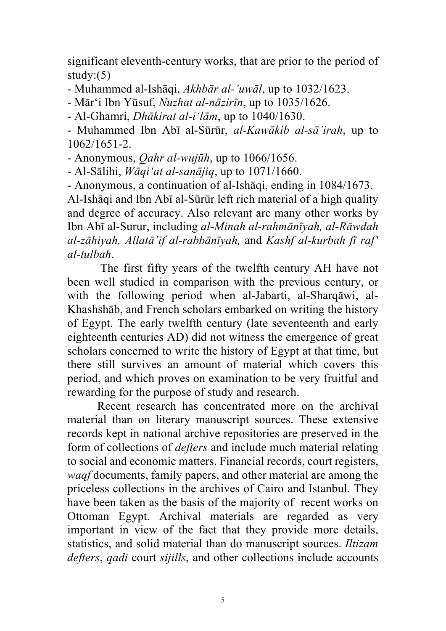significant eleventh-century works, that are prior to the period of study: $(5)$ 

- Muhammed al-Ishāqi, *Akhbār al-'uwāl*, up to 1032/1623.

- Mār'i Ibn Yūsuf, *Nuzhat al-nāzirīn*, up to 1035/1626.

- Al-Ghamri, *Dhākirat al-i'lām*, up to 1040/1630.

- Muhammed Ibn Abī al-Sūrūr, *al-Kawākib al-sā'irah*, up to 1062/1651-2.

- Anonymous, *Qahr al-wujūh*, up to 1066/1656.

- Al-Sālihi, *Wāqi'at al-sanājiq*, up to 1071/1660.

- Anonymous, a continuation of al-Ishāqi, ending in 1084/1673. Al-Ishāqi and Ibn Abī al-Sūrūr left rich material of a high quality and degree of accuracy. Also relevant are many other works by Ibn Abī al-Surur, including *al-Minah al-rahmānīyah, al-Rāwdah al-zāhiyah, Allatā'if al-rabbānīyah,* and *Kashf al-kurbah fī raf' al-tulbah*.

 The first fifty years of the twelfth century AH have not been well studied in comparison with the previous century, or with the following period when al-Jabarti, al-Sharqāwi, al-Khashshāb, and French scholars embarked on writing the history of Egypt. The early twelfth century (late seventeenth and early eighteenth centuries AD) did not witness the emergence of great scholars concerned to write the history of Egypt at that time, but there still survives an amount of material which covers this period, and which proves on examination to be very fruitful and rewarding for the purpose of study and research.

 Recent research has concentrated more on the archival material than on literary manuscript sources. These extensive records kept in national archive repositories are preserved in the form of collections of *defters* and include much material relating to social and economic matters. Financial records, court registers, *waqf* documents, family papers, and other material are among the priceless collections in the archives of Cairo and Istanbul. They have been taken as the basis of the majority of recent works on Ottoman Egypt. Archival materials are regarded as very important in view of the fact that they provide more details, statistics, and solid material than do manuscript sources. *Iltizam defters*, *qadi* court *sijills*, and other collections include accounts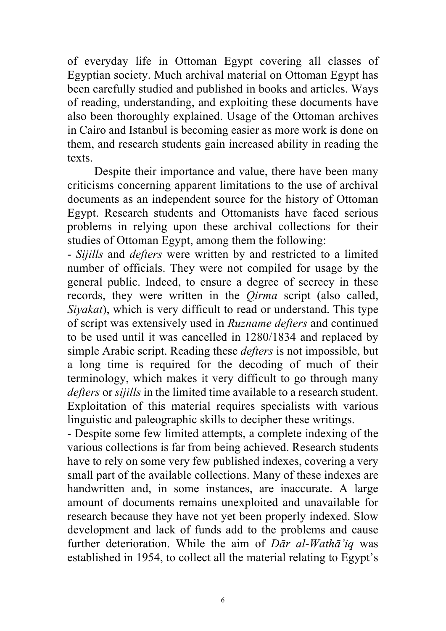of everyday life in Ottoman Egypt covering all classes of Egyptian society. Much archival material on Ottoman Egypt has been carefully studied and published in books and articles. Ways of reading, understanding, and exploiting these documents have also been thoroughly explained. Usage of the Ottoman archives in Cairo and Istanbul is becoming easier as more work is done on them, and research students gain increased ability in reading the texts.

 Despite their importance and value, there have been many criticisms concerning apparent limitations to the use of archival documents as an independent source for the history of Ottoman Egypt. Research students and Ottomanists have faced serious problems in relying upon these archival collections for their studies of Ottoman Egypt, among them the following:

- *Sijills* and *defters* were written by and restricted to a limited number of officials. They were not compiled for usage by the general public. Indeed, to ensure a degree of secrecy in these records, they were written in the *Qirma* script (also called, *Siyakat*), which is very difficult to read or understand. This type of script was extensively used in *Ruzname defters* and continued to be used until it was cancelled in 1280/1834 and replaced by simple Arabic script. Reading these *defters* is not impossible, but a long time is required for the decoding of much of their terminology, which makes it very difficult to go through many *defters* or *sijills* in the limited time available to a research student. Exploitation of this material requires specialists with various linguistic and paleographic skills to decipher these writings.

- Despite some few limited attempts, a complete indexing of the various collections is far from being achieved. Research students have to rely on some very few published indexes, covering a very small part of the available collections. Many of these indexes are handwritten and, in some instances, are inaccurate. A large amount of documents remains unexploited and unavailable for research because they have not yet been properly indexed. Slow development and lack of funds add to the problems and cause further deterioration. While the aim of *Dār al-Wathā'iq* was established in 1954, to collect all the material relating to Egypt's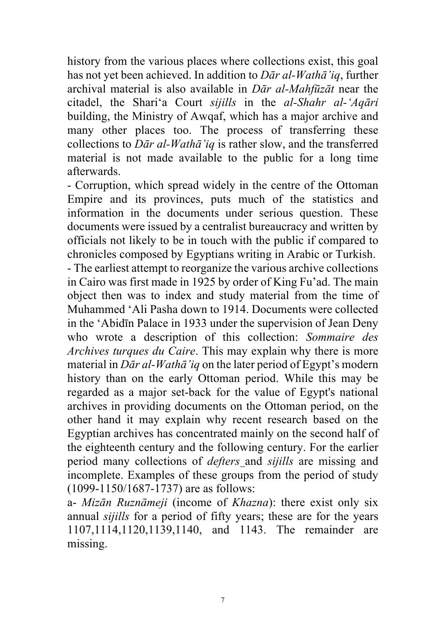history from the various places where collections exist, this goal has not yet been achieved. In addition to *Dār al-Wathā'iq*, further archival material is also available in *Dār al-Mahfūzāt* near the citadel, the Shari'a Court *sijills* in the *al-Shahr al-'Aqāri* building, the Ministry of Awqaf, which has a major archive and many other places too. The process of transferring these collections to *Dār al-Wathā'iq* is rather slow, and the transferred material is not made available to the public for a long time afterwards.

- Corruption, which spread widely in the centre of the Ottoman Empire and its provinces, puts much of the statistics and information in the documents under serious question. These documents were issued by a centralist bureaucracy and written by officials not likely to be in touch with the public if compared to chronicles composed by Egyptians writing in Arabic or Turkish.

- The earliest attempt to reorganize the various archive collections in Cairo was first made in 1925 by order of King Fu'ad. The main object then was to index and study material from the time of Muhammed 'Ali Pasha down to 1914. Documents were collected in the 'Abidīn Palace in 1933 under the supervision of Jean Deny who wrote a description of this collection: *Sommaire des Archives turques du Caire*. This may explain why there is more material in *Dār al-Wathā'iq* on the later period of Egypt's modern history than on the early Ottoman period. While this may be regarded as a major set-back for the value of Egypt's national archives in providing documents on the Ottoman period, on the other hand it may explain why recent research based on the Egyptian archives has concentrated mainly on the second half of the eighteenth century and the following century. For the earlier period many collections of *defters* and *sijills* are missing and incomplete. Examples of these groups from the period of study (1099-1150/1687-1737) are as follows:

a- *Mizān Ruznāmeji* (income of *Khazna*): there exist only six annual *sijills* for a period of fifty years; these are for the years 1107,1114,1120,1139,1140, and 1143. The remainder are missing.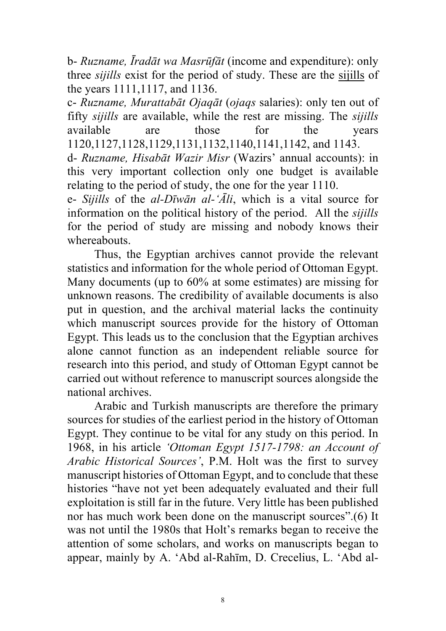b- *Ruzname, Īradāt wa Masrūfāt* (income and expenditure): only three *sijills* exist for the period of study. These are the sijills of the years 1111,1117, and 1136.

c- *Ruzname, Murattabāt Ojaqāt* (*ojaqs* salaries): only ten out of fifty *sijills* are available, while the rest are missing. The *sijills* available are those for the years 1120,1127,1128,1129,1131,1132,1140,1141,1142, and 1143.

d- *Ruzname, Hisabāt Wazir Misr* (Wazirs' annual accounts): in this very important collection only one budget is available relating to the period of study, the one for the year 1110.

e- *Sijills* of the *al-Dīwān al-'Āli*, which is a vital source for information on the political history of the period. All the *sijills* for the period of study are missing and nobody knows their whereabouts.

 Thus, the Egyptian archives cannot provide the relevant statistics and information for the whole period of Ottoman Egypt. Many documents (up to 60% at some estimates) are missing for unknown reasons. The credibility of available documents is also put in question, and the archival material lacks the continuity which manuscript sources provide for the history of Ottoman Egypt. This leads us to the conclusion that the Egyptian archives alone cannot function as an independent reliable source for research into this period, and study of Ottoman Egypt cannot be carried out without reference to manuscript sources alongside the national archives.

 Arabic and Turkish manuscripts are therefore the primary sources for studies of the earliest period in the history of Ottoman Egypt. They continue to be vital for any study on this period. In 1968, in his article *'Ottoman Egypt 1517-1798: an Account of Arabic Historical Sources'*, P.M. Holt was the first to survey manuscript histories of Ottoman Egypt, and to conclude that these histories "have not yet been adequately evaluated and their full exploitation is still far in the future. Very little has been published nor has much work been done on the manuscript sources".(6) It was not until the 1980s that Holt's remarks began to receive the attention of some scholars, and works on manuscripts began to appear, mainly by A. 'Abd al-Rahīm, D. Crecelius, L. 'Abd al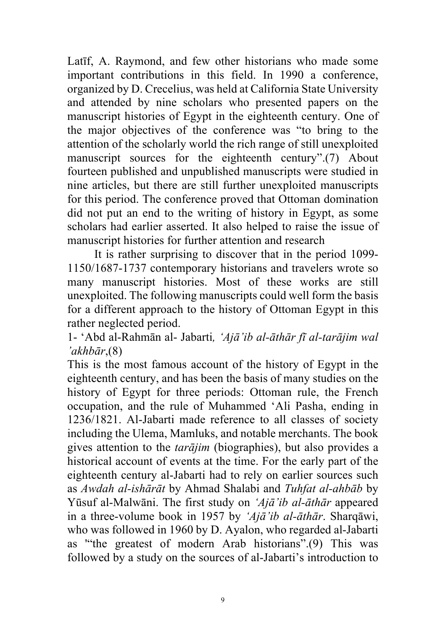Latīf, A. Raymond, and few other historians who made some important contributions in this field. In 1990 a conference, organized by D. Crecelius, was held at California State University and attended by nine scholars who presented papers on the manuscript histories of Egypt in the eighteenth century. One of the major objectives of the conference was "to bring to the attention of the scholarly world the rich range of still unexploited manuscript sources for the eighteenth century".(7) About fourteen published and unpublished manuscripts were studied in nine articles, but there are still further unexploited manuscripts for this period. The conference proved that Ottoman domination did not put an end to the writing of history in Egypt, as some scholars had earlier asserted. It also helped to raise the issue of manuscript histories for further attention and research

 It is rather surprising to discover that in the period 1099- 1150/1687-1737 contemporary historians and travelers wrote so many manuscript histories. Most of these works are still unexploited. The following manuscripts could well form the basis for a different approach to the history of Ottoman Egypt in this rather neglected period.

1- 'Abd al-Rahmān al- Jabarti*, 'Ajā'ib al-āthār fī al-tarājim wal 'akhbār*,(8)

This is the most famous account of the history of Egypt in the eighteenth century, and has been the basis of many studies on the history of Egypt for three periods: Ottoman rule, the French occupation, and the rule of Muhammed 'Ali Pasha, ending in 1236/1821. Al-Jabarti made reference to all classes of society including the Ulema, Mamluks, and notable merchants. The book gives attention to the *tarājim* (biographies), but also provides a historical account of events at the time. For the early part of the eighteenth century al-Jabarti had to rely on earlier sources such as *Awdah al-ishārāt* by Ahmad Shalabi and *Tuhfat al-ahbāb* by Yūsuf al-Malwāni. The first study on *'Ajā'ib al-āthār* appeared in a three-volume book in 1957 by *'Ajā'ib al-āthār*. Sharqāwi, who was followed in 1960 by D. Ayalon, who regarded al-Jabarti as '"the greatest of modern Arab historians".(9) This was followed by a study on the sources of al-Jabarti's introduction to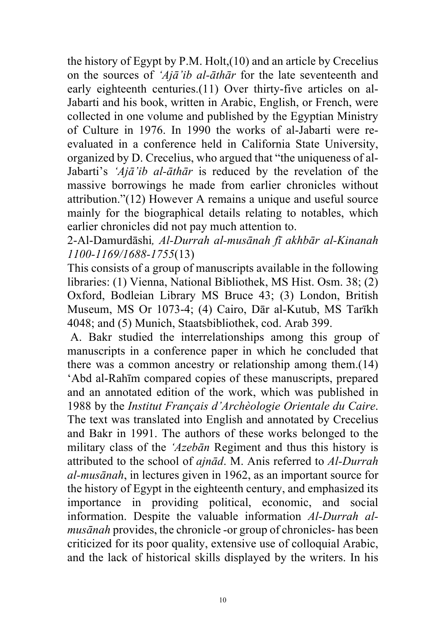the history of Egypt by P.M. Holt,(10) and an article by Crecelius on the sources of *'Ajā'ib al-āthār* for the late seventeenth and early eighteenth centuries.(11) Over thirty-five articles on al-Jabarti and his book, written in Arabic, English, or French, were collected in one volume and published by the Egyptian Ministry of Culture in 1976. In 1990 the works of al-Jabarti were reevaluated in a conference held in California State University, organized by D. Crecelius, who argued that "the uniqueness of al-Jabarti's *'Ajā'ib al-āthār* is reduced by the revelation of the massive borrowings he made from earlier chronicles without attribution."(12) However A remains a unique and useful source mainly for the biographical details relating to notables, which earlier chronicles did not pay much attention to.

2-Al-Damurdāshi*, Al-Durrah al-musānah fī akhbār al-Kinanah 1100-1169/1688-1755*(13)

This consists of a group of manuscripts available in the following libraries: (1) Vienna, National Bibliothek, MS Hist. Osm. 38; (2) Oxford, Bodleian Library MS Bruce 43; (3) London, British Museum, MS Or 1073-4; (4) Cairo, Dār al-Kutub, MS Tarīkh 4048; and (5) Munich, Staatsbibliothek, cod. Arab 399.

A. Bakr studied the interrelationships among this group of manuscripts in a conference paper in which he concluded that there was a common ancestry or relationship among them.(14) 'Abd al-Rahīm compared copies of these manuscripts, prepared and an annotated edition of the work, which was published in 1988 by the *Institut Français d'Archèologie Orientale du Caire*. The text was translated into English and annotated by Crecelius and Bakr in 1991. The authors of these works belonged to the military class of the *'Azebān* Regiment and thus this history is attributed to the school of *ajnād*. M. Anis referred to *Al-Durrah al-musānah*, in lectures given in 1962, as an important source for the history of Egypt in the eighteenth century, and emphasized its importance in providing political, economic, and social information. Despite the valuable information *Al-Durrah almusānah* provides, the chronicle -or group of chronicles- has been criticized for its poor quality, extensive use of colloquial Arabic, and the lack of historical skills displayed by the writers. In his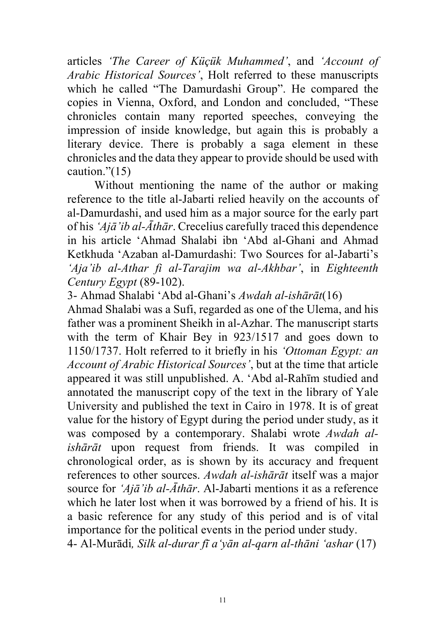articles *'The Career of Küçük Muhammed'*, and *'Account of Arabic Historical Sources'*, Holt referred to these manuscripts which he called "The Damurdashi Group". He compared the copies in Vienna, Oxford, and London and concluded, "These chronicles contain many reported speeches, conveying the impression of inside knowledge, but again this is probably a literary device. There is probably a saga element in these chronicles and the data they appear to provide should be used with caution."(15)

Without mentioning the name of the author or making reference to the title al-Jabarti relied heavily on the accounts of al-Damurdashi, and used him as a major source for the early part of his *'Ajā'ib al-Āthār*. Crecelius carefully traced this dependence in his article 'Ahmad Shalabi ibn 'Abd al-Ghani and Ahmad Ketkhuda 'Azaban al-Damurdashi: Two Sources for al-Jabarti's *'Aja'ib al-Athar fi al-Tarajim wa al-Akhbar'*, in *Eighteenth Century Egypt* (89-102).

3- Ahmad Shalabi 'Abd al-Ghani's *Awdah al-ishārāt*(16) Ahmad Shalabi was a Sufi, regarded as one of the Ulema, and his father was a prominent Sheikh in al-Azhar. The manuscript starts with the term of Khair Bey in 923/1517 and goes down to 1150/1737. Holt referred to it briefly in his *'Ottoman Egypt: an Account of Arabic Historical Sources'*, but at the time that article appeared it was still unpublished. A. 'Abd al-Rahīm studied and annotated the manuscript copy of the text in the library of Yale University and published the text in Cairo in 1978. It is of great value for the history of Egypt during the period under study, as it was composed by a contemporary. Shalabi wrote *Awdah alishārāt* upon request from friends. It was compiled in chronological order, as is shown by its accuracy and frequent references to other sources. *Awdah al-ishārāt* itself was a major source for *'Ajā'ib al-Āthār*. Al-Jabarti mentions it as a reference which he later lost when it was borrowed by a friend of his. It is a basic reference for any study of this period and is of vital importance for the political events in the period under study. 4- Al-Murādi*, Silk al-durar fī a'yān al-qarn al-thāni 'ashar* (17)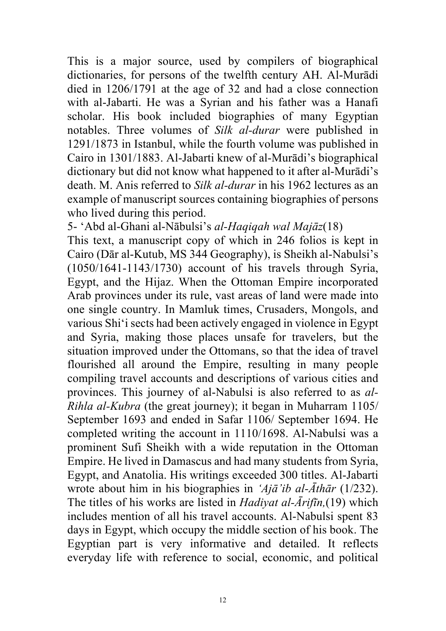This is a major source, used by compilers of biographical dictionaries, for persons of the twelfth century AH. Al-Murādi died in 1206/1791 at the age of 32 and had a close connection with al-Jabarti. He was a Syrian and his father was a Hanafi scholar. His book included biographies of many Egyptian notables. Three volumes of *Silk al-durar* were published in 1291/1873 in Istanbul, while the fourth volume was published in Cairo in 1301/1883. Al-Jabarti knew of al-Murādi's biographical dictionary but did not know what happened to it after al-Murādi's death. M. Anis referred to *Silk al-durar* in his 1962 lectures as an example of manuscript sources containing biographies of persons who lived during this period.

5- 'Abd al-Ghani al-Nābulsi's *al-Haqiqah wal Majāz*(18)

This text, a manuscript copy of which in 246 folios is kept in Cairo (Dār al-Kutub, MS 344 Geography), is Sheikh al-Nabulsi's (1050/1641-1143/1730) account of his travels through Syria, Egypt, and the Hijaz. When the Ottoman Empire incorporated Arab provinces under its rule, vast areas of land were made into one single country. In Mamluk times, Crusaders, Mongols, and various Shi'i sects had been actively engaged in violence in Egypt and Syria, making those places unsafe for travelers, but the situation improved under the Ottomans, so that the idea of travel flourished all around the Empire, resulting in many people compiling travel accounts and descriptions of various cities and provinces. This journey of al-Nabulsi is also referred to as *al-Rihla al-Kubra* (the great journey); it began in Muharram 1105/ September 1693 and ended in Safar 1106/ September 1694. He completed writing the account in 1110/1698. Al-Nabulsi was a prominent Sufi Sheikh with a wide reputation in the Ottoman Empire. He lived in Damascus and had many students from Syria, Egypt, and Anatolia. His writings exceeded 300 titles. Al-Jabarti wrote about him in his biographies in *'Ajā'ib al-Āthār* (1/232). The titles of his works are listed in *Hadiyat al-Ārifīn,*(19) which includes mention of all his travel accounts. Al-Nabulsi spent 83 days in Egypt, which occupy the middle section of his book. The Egyptian part is very informative and detailed. It reflects everyday life with reference to social, economic, and political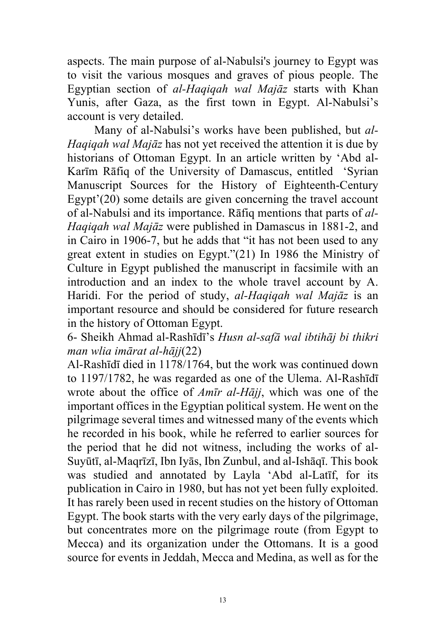aspects. The main purpose of al-Nabulsi's journey to Egypt was to visit the various mosques and graves of pious people. The Egyptian section of *al-Haqiqah wal Majāz* starts with Khan Yunis, after Gaza, as the first town in Egypt. Al-Nabulsi's account is very detailed.

Many of al-Nabulsi's works have been published, but *al-Haqiqah wal Majāz* has not yet received the attention it is due by historians of Ottoman Egypt. In an article written by 'Abd al-Karīm Rāfiq of the University of Damascus, entitled 'Syrian Manuscript Sources for the History of Eighteenth-Century Egypt'(20) some details are given concerning the travel account of al-Nabulsi and its importance. Rāfiq mentions that parts of *al-Haqiqah wal Majāz* were published in Damascus in 1881-2, and in Cairo in 1906-7, but he adds that "it has not been used to any great extent in studies on Egypt."(21) In 1986 the Ministry of Culture in Egypt published the manuscript in facsimile with an introduction and an index to the whole travel account by A. Haridi. For the period of study, *al-Haqiqah wal Majāz* is an important resource and should be considered for future research in the history of Ottoman Egypt.

6- Sheikh Ahmad al-Rashīdī's *Husn al-safā wal ibtihāj bi thikri man wlia imārat al-hājj*(22)

Al-Rashīdī died in 1178/1764, but the work was continued down to 1197/1782, he was regarded as one of the Ulema. Al-Rashīdī wrote about the office of *Amīr al-Hājj*, which was one of the important offices in the Egyptian political system. He went on the pilgrimage several times and witnessed many of the events which he recorded in his book, while he referred to earlier sources for the period that he did not witness, including the works of al-Suyūtī, al-Maqrīzī, Ibn Iyās, Ibn Zunbul, and al-Ishāqī. This book was studied and annotated by Layla 'Abd al-Latīf, for its publication in Cairo in 1980, but has not yet been fully exploited. It has rarely been used in recent studies on the history of Ottoman Egypt. The book starts with the very early days of the pilgrimage, but concentrates more on the pilgrimage route (from Egypt to Mecca) and its organization under the Ottomans. It is a good source for events in Jeddah, Mecca and Medina, as well as for the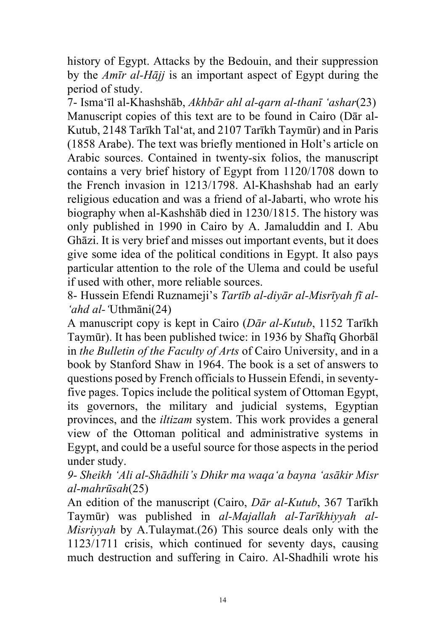history of Egypt. Attacks by the Bedouin, and their suppression by the *Amīr al-Hājj* is an important aspect of Egypt during the period of study.

7- Isma'īl al-Khashshāb, *Akhbār ahl al-qarn al-thanī 'ashar*(23) Manuscript copies of this text are to be found in Cairo (Dār al-Kutub, 2148 Tarīkh Tal'at, and 2107 Tarīkh Taymūr) and in Paris (1858 Arabe). The text was briefly mentioned in Holt's article on Arabic sources. Contained in twenty-six folios, the manuscript contains a very brief history of Egypt from 1120/1708 down to the French invasion in 1213/1798. Al-Khashshab had an early religious education and was a friend of al-Jabarti, who wrote his biography when al-Kashshāb died in 1230/1815. The history was only published in 1990 in Cairo by A. Jamaluddin and I. Abu Ghāzi. It is very brief and misses out important events, but it does give some idea of the political conditions in Egypt. It also pays particular attention to the role of the Ulema and could be useful if used with other, more reliable sources.

8- Hussein Efendi Ruznameji's *Tartīb al-diyār al-Misrīyah fī al- 'ahd al-'*Uthmāni(24)

A manuscript copy is kept in Cairo (*Dār al-Kutub*, 1152 Tarīkh Taymūr). It has been published twice: in 1936 by Shafīq Ghorbāl in *the Bulletin of the Faculty of Arts* of Cairo University, and in a book by Stanford Shaw in 1964. The book is a set of answers to questions posed by French officials to Hussein Efendi, in seventyfive pages. Topics include the political system of Ottoman Egypt, its governors, the military and judicial systems, Egyptian provinces, and the *iltizam* system. This work provides a general view of the Ottoman political and administrative systems in Egypt, and could be a useful source for those aspects in the period under study.

*9- Sheikh 'Ali al-Shādhili's Dhikr ma waqa'a bayna 'asākir Misr al-mahrūsah*(25)

An edition of the manuscript (Cairo, *Dār al-Kutub*, 367 Tarīkh Taymūr) was published in *al-Majallah al-Tarīkhiyyah al-Misriyyah* by A.Tulaymat.(26) This source deals only with the 1123/1711 crisis, which continued for seventy days, causing much destruction and suffering in Cairo. Al-Shadhili wrote his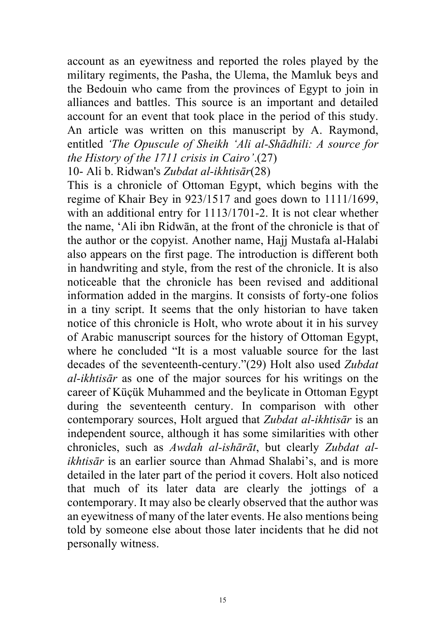account as an eyewitness and reported the roles played by the military regiments, the Pasha, the Ulema, the Mamluk beys and the Bedouin who came from the provinces of Egypt to join in alliances and battles. This source is an important and detailed account for an event that took place in the period of this study. An article was written on this manuscript by A. Raymond, entitled *'The Opuscule of Sheikh 'Ali al-Shādhili: A source for the History of the 1711 crisis in Cairo'*.(27)

10- Ali b. Ridwan's *Zubdat al-ikhtisār*(28)

This is a chronicle of Ottoman Egypt, which begins with the regime of Khair Bey in 923/1517 and goes down to 1111/1699, with an additional entry for 1113/1701-2. It is not clear whether the name, 'Ali ibn Ridwān, at the front of the chronicle is that of the author or the copyist. Another name, Hajj Mustafa al-Halabi also appears on the first page. The introduction is different both in handwriting and style, from the rest of the chronicle. It is also noticeable that the chronicle has been revised and additional information added in the margins. It consists of forty-one folios in a tiny script. It seems that the only historian to have taken notice of this chronicle is Holt, who wrote about it in his survey of Arabic manuscript sources for the history of Ottoman Egypt, where he concluded "It is a most valuable source for the last decades of the seventeenth-century."(29) Holt also used *Zubdat al-ikhtisār* as one of the major sources for his writings on the career of Küçük Muhammed and the beylicate in Ottoman Egypt during the seventeenth century. In comparison with other contemporary sources, Holt argued that *Zubdat al-ikhtisār* is an independent source, although it has some similarities with other chronicles, such as *Awdah al-ishārāt*, but clearly *Zubdat alikhtisār* is an earlier source than Ahmad Shalabi's, and is more detailed in the later part of the period it covers. Holt also noticed that much of its later data are clearly the jottings of a contemporary. It may also be clearly observed that the author was an eyewitness of many of the later events. He also mentions being told by someone else about those later incidents that he did not personally witness.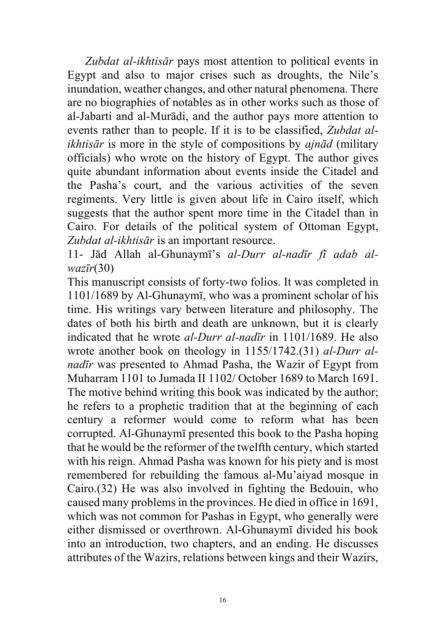*Zubdat al-ikhtisār* pays most attention to political events in Egypt and also to major crises such as droughts, the Nile's inundation, weather changes, and other natural phenomena. There are no biographies of notables as in other works such as those of al-Jabarti and al-Murādi, and the author pays more attention to events rather than to people. If it is to be classified, *Zubdat alikhtisār* is more in the style of compositions by *ajnād* (military officials) who wrote on the history of Egypt. The author gives quite abundant information about events inside the Citadel and the Pasha's court, and the various activities of the seven regiments. Very little is given about life in Cairo itself, which suggests that the author spent more time in the Citadel than in Cairo. For details of the political system of Ottoman Egypt, *Zubdat al-ikhtisār* is an important resource.

11- Jād Allah al-Ghunaymī's *al-Durr al-nadīr fī adab alwazīr*(30)

This manuscript consists of forty-two folios. It was completed in 1101/1689 by Al-Ghunaymī, who was a prominent scholar of his time. His writings vary between literature and philosophy. The dates of both his birth and death are unknown, but it is clearly indicated that he wrote *al-Durr al-nadīr* in 1101/1689. He also wrote another book on theology in 1155/1742.(31) *al-Durr alnadīr* was presented to Ahmad Pasha, the Wazir of Egypt from Muharram 1101 to Jumada II 1102/ October 1689 to March 1691. The motive behind writing this book was indicated by the author; he refers to a prophetic tradition that at the beginning of each century a reformer would come to reform what has been corrupted. Al-Ghunaymī presented this book to the Pasha hoping that he would be the reformer of the twelfth century, which started with his reign. Ahmad Pasha was known for his piety and is most remembered for rebuilding the famous al-Mu'aiyad mosque in Cairo.(32) He was also involved in fighting the Bedouin, who caused many problems in the provinces. He died in office in 1691, which was not common for Pashas in Egypt, who generally were either dismissed or overthrown. Al-Ghunaymī divided his book into an introduction, two chapters, and an ending. He discusses attributes of the Wazirs, relations between kings and their Wazirs,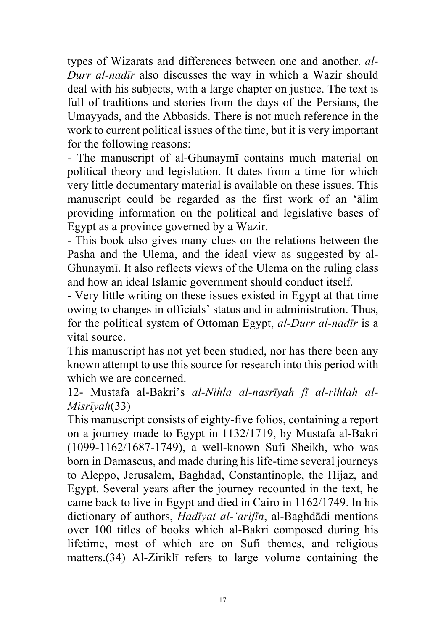types of Wizarats and differences between one and another. *al-Durr al-nadīr* also discusses the way in which a Wazir should deal with his subjects, with a large chapter on justice. The text is full of traditions and stories from the days of the Persians, the Umayyads, and the Abbasids. There is not much reference in the work to current political issues of the time, but it is very important for the following reasons:

- The manuscript of al-Ghunaymī contains much material on political theory and legislation. It dates from a time for which very little documentary material is available on these issues. This manuscript could be regarded as the first work of an 'ālim providing information on the political and legislative bases of Egypt as a province governed by a Wazir.

- This book also gives many clues on the relations between the Pasha and the Ulema, and the ideal view as suggested by al-Ghunaymī. It also reflects views of the Ulema on the ruling class and how an ideal Islamic government should conduct itself.

- Very little writing on these issues existed in Egypt at that time owing to changes in officials' status and in administration. Thus, for the political system of Ottoman Egypt, *al-Durr al-nadīr* is a vital source.

This manuscript has not yet been studied, nor has there been any known attempt to use this source for research into this period with which we are concerned.

12- Mustafa al-Bakri's *al-Nihla al-nasrīyah fī al-rihlah al-Misrīyah*(33)

This manuscript consists of eighty-five folios, containing a report on a journey made to Egypt in 1132/1719, by Mustafa al-Bakri (1099-1162/1687-1749), a well-known Sufi Sheikh, who was born in Damascus, and made during his life-time several journeys to Aleppo, Jerusalem, Baghdad, Constantinople, the Hijaz, and Egypt. Several years after the journey recounted in the text, he came back to live in Egypt and died in Cairo in 1162/1749. In his dictionary of authors, *Hadīyat al-'arifīn*, al-Baghdādi mentions over 100 titles of books which al-Bakri composed during his lifetime, most of which are on Sufi themes, and religious matters.(34) Al-Ziriklī refers to large volume containing the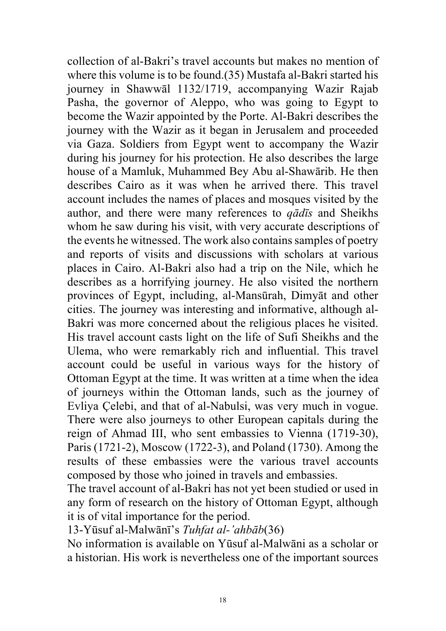collection of al-Bakri's travel accounts but makes no mention of where this volume is to be found.(35) Mustafa al-Bakri started his journey in Shawwāl 1132/1719, accompanying Wazir Rajab Pasha, the governor of Aleppo, who was going to Egypt to become the Wazir appointed by the Porte. Al-Bakri describes the journey with the Wazir as it began in Jerusalem and proceeded via Gaza. Soldiers from Egypt went to accompany the Wazir during his journey for his protection. He also describes the large house of a Mamluk, Muhammed Bey Abu al-Shawārib. He then describes Cairo as it was when he arrived there. This travel account includes the names of places and mosques visited by the author, and there were many references to *qādīs* and Sheikhs whom he saw during his visit, with very accurate descriptions of the events he witnessed. The work also contains samples of poetry and reports of visits and discussions with scholars at various places in Cairo. Al-Bakri also had a trip on the Nile, which he describes as a horrifying journey. He also visited the northern provinces of Egypt, including, al-Mansūrah, Dimyāt and other cities. The journey was interesting and informative, although al-Bakri was more concerned about the religious places he visited. His travel account casts light on the life of Sufi Sheikhs and the Ulema, who were remarkably rich and influential. This travel account could be useful in various ways for the history of Ottoman Egypt at the time. It was written at a time when the idea of journeys within the Ottoman lands, such as the journey of Evliya Çelebi, and that of al-Nabulsi, was very much in vogue. There were also journeys to other European capitals during the reign of Ahmad III, who sent embassies to Vienna (1719-30), Paris (1721-2), Moscow (1722-3), and Poland (1730). Among the results of these embassies were the various travel accounts composed by those who joined in travels and embassies.

The travel account of al-Bakri has not yet been studied or used in any form of research on the history of Ottoman Egypt, although it is of vital importance for the period.

13-Yūsuf al-Malwānī's *Tuhfat al-'ahbāb*(36)

No information is available on Yūsuf al-Malwāni as a scholar or a historian. His work is nevertheless one of the important sources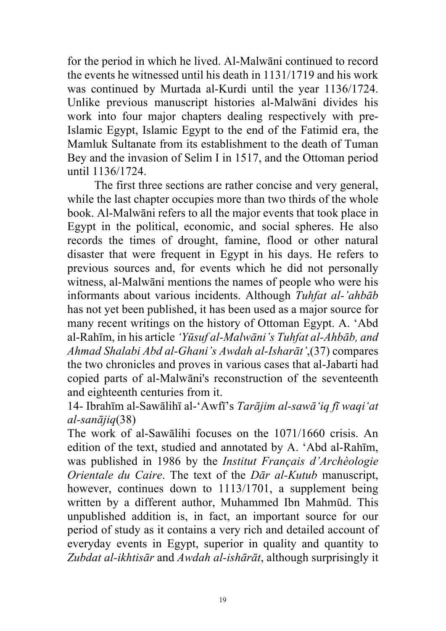for the period in which he lived. Al-Malwāni continued to record the events he witnessed until his death in 1131/1719 and his work was continued by Murtada al-Kurdi until the year 1136/1724. Unlike previous manuscript histories al-Malwāni divides his work into four major chapters dealing respectively with pre-Islamic Egypt, Islamic Egypt to the end of the Fatimid era, the Mamluk Sultanate from its establishment to the death of Tuman Bey and the invasion of Selim I in 1517, and the Ottoman period until 1136/1724.

The first three sections are rather concise and very general, while the last chapter occupies more than two thirds of the whole book. Al-Malwāni refers to all the major events that took place in Egypt in the political, economic, and social spheres. He also records the times of drought, famine, flood or other natural disaster that were frequent in Egypt in his days. He refers to previous sources and, for events which he did not personally witness, al-Malwāni mentions the names of people who were his informants about various incidents. Although *Tuhfat al-'ahbāb* has not yet been published, it has been used as a major source for many recent writings on the history of Ottoman Egypt. A. 'Abd al-Rahīm, in his article *'Yūsuf al-Malwāni's Tuhfat al-Ahbāb, and Ahmad Shalabi Abd al-Ghani's Awdah al-Isharāt'*,(37) compares the two chronicles and proves in various cases that al-Jabarti had copied parts of al-Malwāni's reconstruction of the seventeenth and eighteenth centuries from it.

14- Ibrahīm al-Sawālihī al-'Awfī's *Tarājim al-sawā'iq fī waqi'at al-sanājiq*(38)

The work of al-Sawālihi focuses on the 1071/1660 crisis. An edition of the text, studied and annotated by A. 'Abd al-Rahīm, was published in 1986 by the *Institut Français d'Archèologie Orientale du Caire*. The text of the *Dār al-Kutub* manuscript, however, continues down to 1113/1701, a supplement being written by a different author, Muhammed Ibn Mahmūd. This unpublished addition is, in fact, an important source for our period of study as it contains a very rich and detailed account of everyday events in Egypt, superior in quality and quantity to *Zubdat al-ikhtisār* and *Awdah al-ishārāt*, although surprisingly it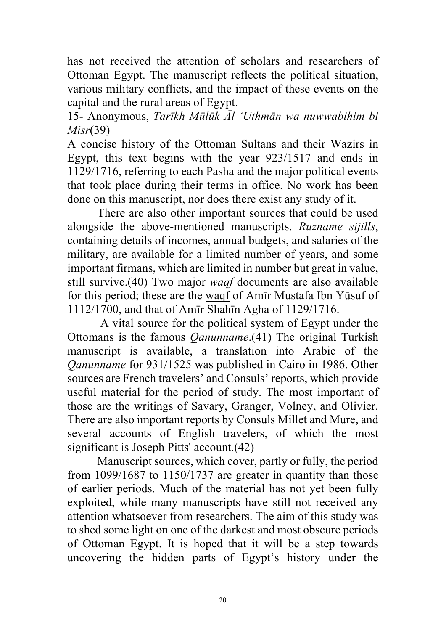has not received the attention of scholars and researchers of Ottoman Egypt. The manuscript reflects the political situation, various military conflicts, and the impact of these events on the capital and the rural areas of Egypt.

15- Anonymous, *Tarīkh Mūlūk Āl 'Uthmān wa nuwwabihim bi Misr*(39)

A concise history of the Ottoman Sultans and their Wazirs in Egypt, this text begins with the year 923/1517 and ends in 1129/1716, referring to each Pasha and the major political events that took place during their terms in office. No work has been done on this manuscript, nor does there exist any study of it.

 There are also other important sources that could be used alongside the above-mentioned manuscripts. *Ruzname sijills*, containing details of incomes, annual budgets, and salaries of the military, are available for a limited number of years, and some important firmans, which are limited in number but great in value, still survive.(40) Two major *waqf* documents are also available for this period; these are the waqf of Amīr Mustafa Ibn Yūsuf of 1112/1700, and that of Amīr Shahīn Agha of 1129/1716.

 A vital source for the political system of Egypt under the Ottomans is the famous *Qanunname*.(41) The original Turkish manuscript is available, a translation into Arabic of the *Qanunname* for 931/1525 was published in Cairo in 1986. Other sources are French travelers' and Consuls' reports, which provide useful material for the period of study. The most important of those are the writings of Savary, Granger, Volney, and Olivier. There are also important reports by Consuls Millet and Mure, and several accounts of English travelers, of which the most significant is Joseph Pitts' account.(42)

 Manuscript sources, which cover, partly or fully, the period from 1099/1687 to 1150/1737 are greater in quantity than those of earlier periods. Much of the material has not yet been fully exploited, while many manuscripts have still not received any attention whatsoever from researchers. The aim of this study was to shed some light on one of the darkest and most obscure periods of Ottoman Egypt. It is hoped that it will be a step towards uncovering the hidden parts of Egypt's history under the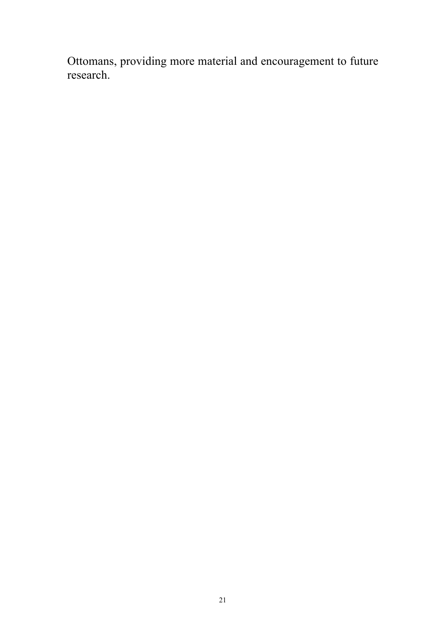Ottomans, providing more material and encouragement to future research.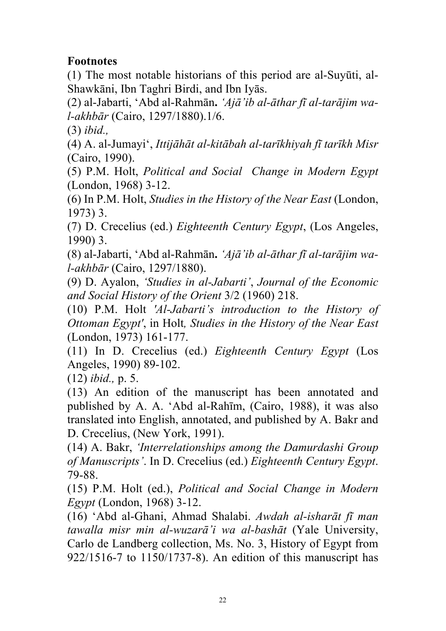# **Footnotes**

(1) The most notable historians of this period are al-Suyūti, al-Shawkāni, Ibn Taghri Birdi, and Ibn Iyās.

(2) al-Jabarti, 'Abd al-Rahmān**.** *'Ajā'ib al-āthar fī al-tarājim wal-akhbār* (Cairo, 1297/1880).1/6.

(3) *ibid.,*

(4) A. al-Jumayi', *Ittijāhāt al-kitābah al-tarīkhiyah fī tarīkh Misr* (Cairo, 1990).

(5) P.M. Holt, *Political and Social Change in Modern Egypt* (London, 1968) 3-12.

(6) In P.M. Holt, *Studies in the History of the Near East* (London, 1973) 3.

(7) D. Crecelius (ed.) *Eighteenth Century Egypt*, (Los Angeles, 1990) 3.

(8) al-Jabarti, 'Abd al-Rahmān**.** *'Ajā'ib al-āthar fī al-tarājim wal-akhbār* (Cairo, 1297/1880).

(9) D. Ayalon, *'Studies in al-Jabarti'*, *Journal of the Economic and Social History of the Orient* 3/2 (1960) 218.

(10) P.M. Holt *'Al-Jabarti's introduction to the History of Ottoman Egypt'*, in Holt*, Studies in the History of the Near East* (London, 1973) 161-177.

(11) In D. Crecelius (ed.) *Eighteenth Century Egypt* (Los Angeles, 1990) 89-102.

(12) *ibid.,* p. 5.

(13) An edition of the manuscript has been annotated and published by A. A. 'Abd al-Rahīm, (Cairo, 1988), it was also translated into English, annotated, and published by A. Bakr and D. Crecelius, (New York, 1991).

(14) A. Bakr, *'Interrelationships among the Damurdashi Group of Manuscripts'*. In D. Crecelius (ed.) *Eighteenth Century Egypt*. 79-88.

(15) P.M. Holt (ed.), *Political and Social Change in Modern Egypt* (London, 1968) 3-12.

(16) 'Abd al-Ghani, Ahmad Shalabi. *Awdah al-isharāt fī man tawalla misr min al-wuzarā'i wa al-bashāt* (Yale University, Carlo de Landberg collection, Ms. No. 3, History of Egypt from 922/1516-7 to 1150/1737-8). An edition of this manuscript has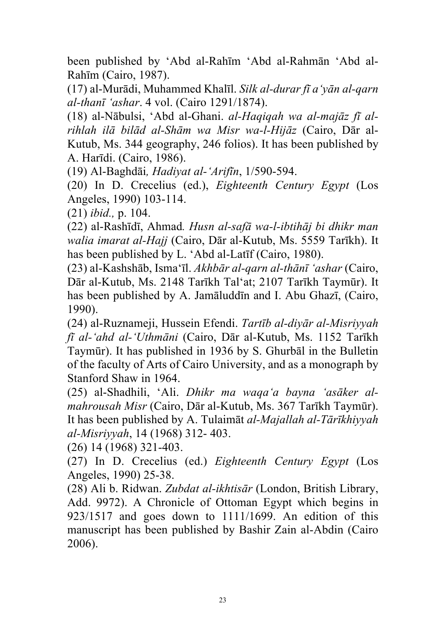been published by 'Abd al-Rahīm 'Abd al-Rahmān 'Abd al-Rahīm (Cairo, 1987).

(17) al-Murādi, Muhammed Khalīl. *Silk al-durar fī a'yān al-qarn al-thanī 'ashar*. 4 vol. (Cairo 1291/1874).

(18) al-Nābulsi, 'Abd al-Ghani. *al-Haqiqah wa al-majāz fī alrihlah ilā bilād al-Shām wa Misr wa-l-Hijāz* (Cairo, Dār al-Kutub, Ms. 344 geography, 246 folios). It has been published by A. Harīdi. (Cairo, 1986).

(19) Al-Baghdāi*, Hadiyat al-'Arifīn*, 1/590-594.

(20) In D. Crecelius (ed.), *Eighteenth Century Egypt* (Los Angeles, 1990) 103-114.

(21) *ibid.,* p. 104.

(22) al-Rashīdī, Ahmad*. Husn al-safā wa-l-ibtihāj bi dhikr man walia imarat al-Hajj* (Cairo, Dār al-Kutub, Ms. 5559 Tarīkh). It has been published by L. 'Abd al-Latīf (Cairo, 1980).

(23) al-Kashshāb, Isma'īl. *Akhbār al-qarn al-thānī 'ashar* (Cairo, Dār al-Kutub, Ms. 2148 Tarīkh Tal'at; 2107 Tarīkh Taymūr). It has been published by A. Jamāluddīn and I. Abu Ghazī, (Cairo, 1990).

(24) al-Ruznameji, Hussein Efendi. *Tartīb al-diyār al-Misriyyah fī al-'ahd al-'Uthmāni* (Cairo, Dār al-Kutub, Ms. 1152 Tarīkh Taymūr). It has published in 1936 by S. Ghurbāl in the Bulletin of the faculty of Arts of Cairo University, and as a monograph by Stanford Shaw in 1964.

(25) al-Shadhili, 'Ali. *Dhikr ma waqa'a bayna 'asāker almahrousah Misr* (Cairo, Dār al-Kutub, Ms. 367 Tarīkh Taymūr). It has been published by A. Tulaimāt *al-Majallah al-Tārīkhiyyah al-Misriyyah*, 14 (1968) 312- 403.

(26) 14 (1968) 321-403.

(27) In D. Crecelius (ed.) *Eighteenth Century Egypt* (Los Angeles, 1990) 25-38.

(28) Ali b. Ridwan. *Zubdat al-ikhtisār* (London, British Library, Add. 9972). A Chronicle of Ottoman Egypt which begins in 923/1517 and goes down to 1111/1699. An edition of this manuscript has been published by Bashir Zain al-Abdin (Cairo 2006).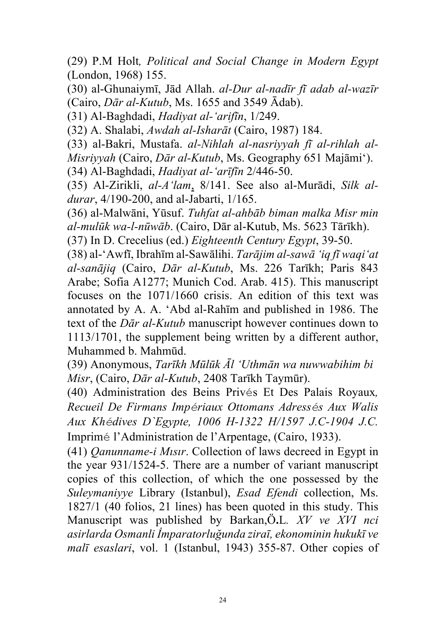(29) P.M Holt*, Political and Social Change in Modern Egypt* (London, 1968) 155.

(30) al-Ghunaiymī, Jād Allah. *al-Dur al-nadīr fī adab al-wazīr* (Cairo, *Dār al-Kutub*, Ms. 1655 and 3549 Ādab).

(31) Al-Baghdadi, *Hadiyat al-'arifīn*, 1/249.

(32) A. Shalabi, *Awdah al-Isharāt* (Cairo, 1987) 184.

(33) al-Bakri, Mustafa. *al-Nihlah al-nasriyyah fī al-rihlah al-*

*Misriyyah* (Cairo, *Dār al-Kutub*, Ms. Geography 651 Majāmi').

(34) Al-Baghdadi, *Hadiyat al-'arīfīn* 2/446-50.

(35) Al-Zirikli, *al-A'lam*, 8/141. See also al-Murādi, *Silk aldurar*, 4/190-200, and al-Jabarti, 1/165.

(36) al-Malwāni, Yūsuf. *Tuhfat al-ahbāb biman malka Misr min al-mulūk wa-l-nūwāb*. (Cairo, Dār al-Kutub, Ms. 5623 Tārīkh).

(37) In D. Crecelius (ed.) *Eighteenth Century Egypt*, 39-50.

(38) al-'Awfī, Ibrahīm al-Sawālihi. *Tarājim al-sawā 'iq fī waqi'at al-sanājiq* (Cairo, *Dār al-Kutub*, Ms. 226 Tarīkh; Paris 843 Arabe; Sofia A1277; Munich Cod. Arab. 415). This manuscript focuses on the 1071/1660 crisis. An edition of this text was annotated by A. A. 'Abd al-Rahīm and published in 1986. The text of the *Dār al-Kutub* manuscript however continues down to 1113/1701, the supplement being written by a different author, Muhammed b. Mahmūd.

(39) Anonymous, *Tarīkh Mūlūk Āl 'Uthmān wa nuwwabihim bi Misr*, (Cairo, *Dār al-Kutub*, 2408 Tarīkh Taymūr).

(40) Administration des Beins Privés Et Des Palais Royaux*, Recueil De Firmans Impériaux Ottomans Adressés Aux Walis Aux Khédives D`Egypte, 1006 H-1322 H/1597 J.C-1904 J.C.* Imprimé l'Administration de l'Arpentage, (Cairo, 1933).

(41) *Qanunname-i Mısır*. Collection of laws decreed in Egypt in the year 931/1524-5. There are a number of variant manuscript copies of this collection, of which the one possessed by the *Suleymaniyye* Library (Istanbul), *Esad Efendi* collection, Ms. 1827/1 (40 folios, 21 lines) has been quoted in this study. This Manuscript was published by Barkan,Ö**.**L*. XV ve XVI nci asirlarda Osmanli İmparatorluğunda ziraī, ekonominin hukukī ve malī esaslari*, vol. 1 (Istanbul, 1943) 355-87. Other copies of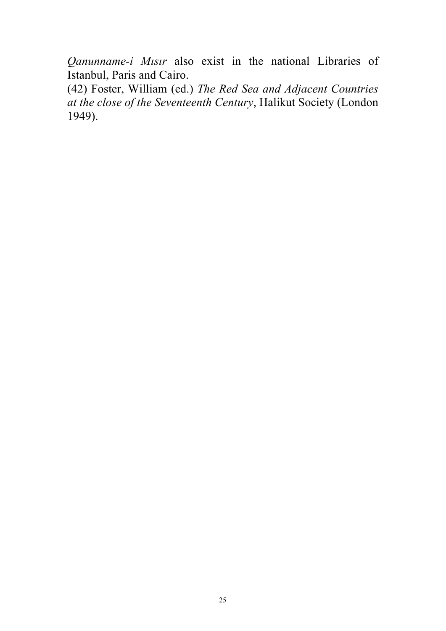*Qanunname-i Mısır* also exist in the national Libraries of Istanbul, Paris and Cairo.

(42) Foster, William (ed.) *The Red Sea and Adjacent Countries at the close of the Seventeenth Century*, Halikut Society (London 1949).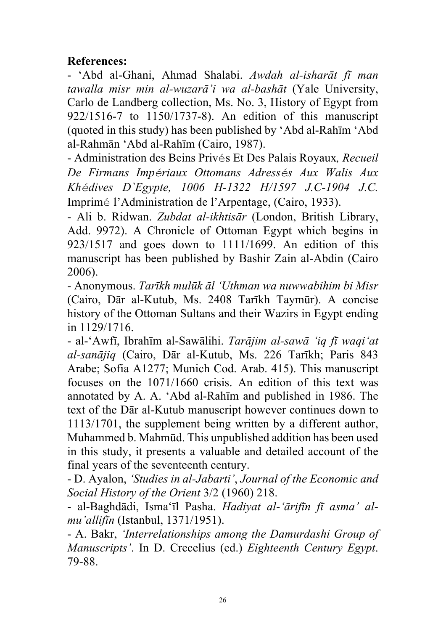### **References:**

- 'Abd al-Ghani, Ahmad Shalabi. *Awdah al-isharāt fī man tawalla misr min al-wuzarā'i wa al-bashāt* (Yale University, Carlo de Landberg collection, Ms. No. 3, History of Egypt from 922/1516-7 to 1150/1737-8). An edition of this manuscript (quoted in this study) has been published by 'Abd al-Rahīm 'Abd al-Rahmān 'Abd al-Rahīm (Cairo, 1987).

- Administration des Beins Privés Et Des Palais Royaux*, Recueil De Firmans Impériaux Ottomans Adressés Aux Walis Aux Khédives D`Egypte, 1006 H-1322 H/1597 J.C-1904 J.C.* Imprimé l'Administration de l'Arpentage, (Cairo, 1933).

- Ali b. Ridwan. *Zubdat al-ikhtisār* (London, British Library, Add. 9972). A Chronicle of Ottoman Egypt which begins in 923/1517 and goes down to 1111/1699. An edition of this manuscript has been published by Bashir Zain al-Abdin (Cairo 2006).

- Anonymous. *Tarīkh mulūk āl 'Uthman wa nuwwabihim bi Misr* (Cairo, Dār al-Kutub, Ms. 2408 Tarīkh Taymūr). A concise history of the Ottoman Sultans and their Wazirs in Egypt ending in 1129/1716.

- al-'Awfī, Ibrahīm al-Sawālihi. *Tarājim al-sawā 'iq fī waqi'at al-sanājiq* (Cairo, Dār al-Kutub, Ms. 226 Tarīkh; Paris 843 Arabe; Sofia A1277; Munich Cod. Arab. 415). This manuscript focuses on the 1071/1660 crisis. An edition of this text was annotated by A. A. 'Abd al-Rahīm and published in 1986. The text of the Dār al-Kutub manuscript however continues down to 1113/1701, the supplement being written by a different author, Muhammed b. Mahmūd. This unpublished addition has been used in this study, it presents a valuable and detailed account of the final years of the seventeenth century.

- D. Ayalon, *'Studies in al-Jabarti'*, *Journal of the Economic and Social History of the Orient* 3/2 (1960) 218.

- al-Baghdādi, Isma'īl Pasha. *Hadiyat al-'ārifīn fī asma' almu'allifīn* (Istanbul, 1371/1951).

- A. Bakr, *'Interrelationships among the Damurdashi Group of Manuscripts'*. In D. Crecelius (ed.) *Eighteenth Century Egypt*. 79-88.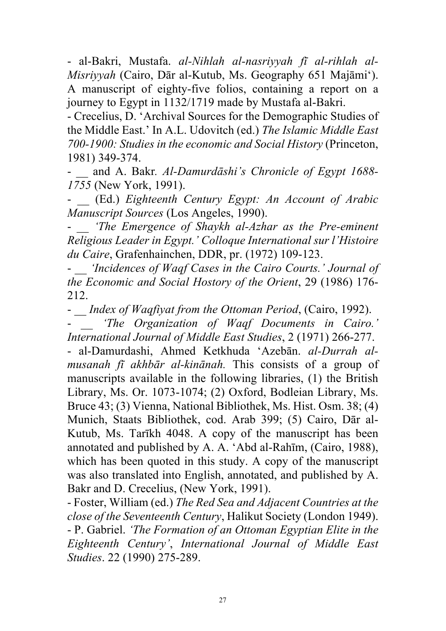- al-Bakri, Mustafa. *al-Nihlah al-nasriyyah fī al-rihlah al-Misriyyah* (Cairo, Dār al-Kutub, Ms. Geography 651 Majāmi'). A manuscript of eighty-five folios, containing a report on a journey to Egypt in 1132/1719 made by Mustafa al-Bakri.

- Crecelius, D. 'Archival Sources for the Demographic Studies of the Middle East.' In A.L. Udovitch (ed.) *The Islamic Middle East 700-1900: Studies in the economic and Social History* (Princeton, 1981) 349-374.

- \_\_ and A. Bakr*. Al-Damurdāshi's Chronicle of Egypt 1688- 1755* (New York, 1991).

- \_\_ (Ed.) *Eighteenth Century Egypt: An Account of Arabic Manuscript Sources* (Los Angeles, 1990).

- \_\_ *'The Emergence of Shaykh al-Azhar as the Pre-eminent Religious Leader in Egypt.' Colloque International sur l'Histoire du Caire*, Grafenhainchen, DDR, pr. (1972) 109-123.

- \_\_ *'Incidences of Waqf Cases in the Cairo Courts.' Journal of the Economic and Social Hostory of the Orient*, 29 (1986) 176- 212.

- \_\_ *Index of Waqfiyat from the Ottoman Period*, (Cairo, 1992).

'The Organization of Waqf Documents in Cairo.' *International Journal of Middle East Studies*, 2 (1971) 266-277.

- al-Damurdashi, Ahmed Ketkhuda 'Azebān. *al-Durrah almusanah fī akhbār al-kinānah.* This consists of a group of manuscripts available in the following libraries, (1) the British Library, Ms. Or. 1073-1074; (2) Oxford, Bodleian Library, Ms. Bruce 43; (3) Vienna, National Bibliothek, Ms. Hist. Osm. 38; (4) Munich, Staats Bibliothek, cod. Arab 399; (5) Cairo, Dār al-Kutub, Ms. Tarīkh 4048. A copy of the manuscript has been annotated and published by A. A. 'Abd al-Rahīm, (Cairo, 1988), which has been quoted in this study. A copy of the manuscript was also translated into English, annotated, and published by A. Bakr and D. Crecelius, (New York, 1991).

- Foster, William (ed.) *The Red Sea and Adjacent Countries at the close of the Seventeenth Century*, Halikut Society (London 1949). - P. Gabriel. *'The Formation of an Ottoman Egyptian Elite in the Eighteenth Century'*, *International Journal of Middle East Studies*. 22 (1990) 275-289.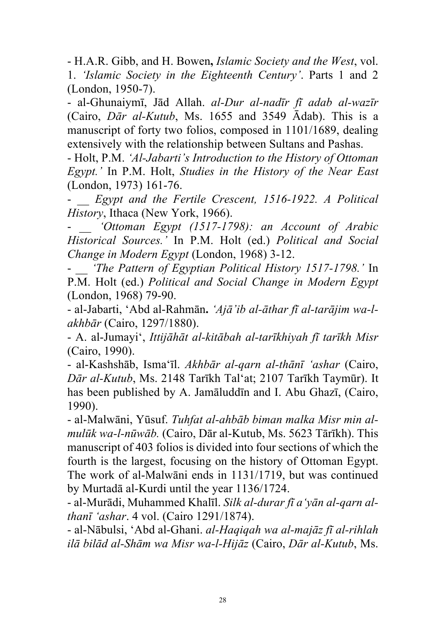- H.A.R. Gibb, and H. Bowen**,** *Islamic Society and the West*, vol. 1. *'Islamic Society in the Eighteenth Century'*. Parts 1 and 2 (London, 1950-7).

- al-Ghunaiymī, Jād Allah. *al-Dur al-nadīr fī adab al-wazīr* (Cairo, *Dār al-Kutub*, Ms. 1655 and 3549 Ādab). This is a manuscript of forty two folios, composed in 1101/1689, dealing extensively with the relationship between Sultans and Pashas.

- Holt, P.M. *'Al-Jabarti's Introduction to the History of Ottoman Egypt.'* In P.M. Holt, *Studies in the History of the Near East* (London, 1973) 161-76.

- \_\_ *Egypt and the Fertile Crescent, 1516-1922. A Political History*, Ithaca (New York, 1966).

'Ottoman Egypt (1517-1798): an Account of Arabic *Historical Sources.'* In P.M. Holt (ed.) *Political and Social Change in Modern Egypt* (London, 1968) 3-12.

- \_\_ *'The Pattern of Egyptian Political History 1517-1798.'* In P.M. Holt (ed.) *Political and Social Change in Modern Egypt* (London, 1968) 79-90.

- al-Jabarti, 'Abd al-Rahmān**.** *'Ajā'ib al-āthar fī al-tarājim wa-lakhbār* (Cairo, 1297/1880).

- A. al-Jumayi', *Ittijāhāt al-kitābah al-tarīkhiyah fī tarīkh Misr* (Cairo, 1990).

- al-Kashshāb, Isma'īl. *Akhbār al-qarn al-thānī 'ashar* (Cairo, *Dār al-Kutub*, Ms. 2148 Tarīkh Tal'at; 2107 Tarīkh Taymūr). It has been published by A. Jamāluddīn and I. Abu Ghazī, (Cairo, 1990).

- al-Malwāni, Yūsuf. *Tuhfat al-ahbāb biman malka Misr min almulūk wa-l-nūwāb.* (Cairo, Dār al-Kutub, Ms. 5623 Tārīkh). This manuscript of 403 folios is divided into four sections of which the fourth is the largest, focusing on the history of Ottoman Egypt. The work of al-Malwāni ends in 1131/1719, but was continued by Murtadā al-Kurdi until the year 1136/1724.

- al-Murādi, Muhammed Khalīl. *Silk al-durar fī a'yān al-qarn althanī 'ashar*. 4 vol. (Cairo 1291/1874).

- al-Nābulsi, 'Abd al-Ghani. *al-Haqiqah wa al-majāz fī al-rihlah ilā bilād al-Shām wa Misr wa-l-Hijāz* (Cairo, *Dār al-Kutub*, Ms.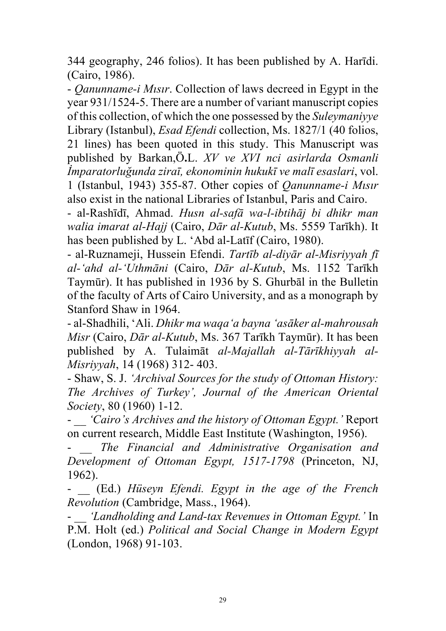344 geography, 246 folios). It has been published by A. Harīdi. (Cairo, 1986).

- *Qanunname-i Mısır*. Collection of laws decreed in Egypt in the year 931/1524-5. There are a number of variant manuscript copies of this collection, of which the one possessed by the *Suleymaniyye* Library (Istanbul), *Esad Efendi* collection, Ms. 1827/1 (40 folios, 21 lines) has been quoted in this study. This Manuscript was published by Barkan,Ö**.**L. *XV ve XVI nci asirlarda Osmanli İmparatorluğunda ziraī, ekonominin hukukī ve malī esaslari*, vol. 1 (Istanbul, 1943) 355-87. Other copies of *Qanunname-i Mısır* also exist in the national Libraries of Istanbul, Paris and Cairo.

- al-Rashīdī, Ahmad. *Husn al-safā wa-l-ibtihāj bi dhikr man walia imarat al-Hajj* (Cairo, *Dār al-Kutub*, Ms. 5559 Tarīkh). It has been published by L. 'Abd al-Latīf (Cairo, 1980).

- al-Ruznameji, Hussein Efendi. *Tartīb al-diyār al-Misriyyah fī al-'ahd al-'Uthmāni* (Cairo, *Dār al-Kutub*, Ms. 1152 Tarīkh Taymūr). It has published in 1936 by S. Ghurbāl in the Bulletin of the faculty of Arts of Cairo University, and as a monograph by Stanford Shaw in 1964.

- al-Shadhili, 'Ali. *Dhikr ma waqa'a bayna 'asāker al-mahrousah Misr* (Cairo, *Dār al-Kutub*, Ms. 367 Tarīkh Taymūr). It has been published by A. Tulaimāt *al-Majallah al-Tārīkhiyyah al-Misriyyah*, 14 (1968) 312- 403.

- Shaw, S. J. *'Archival Sources for the study of Ottoman History: The Archives of Turkey', Journal of the American Oriental Society*, 80 (1960) 1-12.

- \_\_ *'Cairo's Archives and the history of Ottoman Egypt.'* Report on current research, Middle East Institute (Washington, 1956).

The Financial and Administrative Organisation and *Development of Ottoman Egypt, 1517-1798* (Princeton, NJ, 1962).

- \_\_ (Ed.) *Hüseyn Efendi. Egypt in the age of the French Revolution* (Cambridge, Mass., 1964).

- \_\_ *'Landholding and Land-tax Revenues in Ottoman Egypt.'* In P.M. Holt (ed.) *Political and Social Change in Modern Egypt* (London, 1968) 91-103.